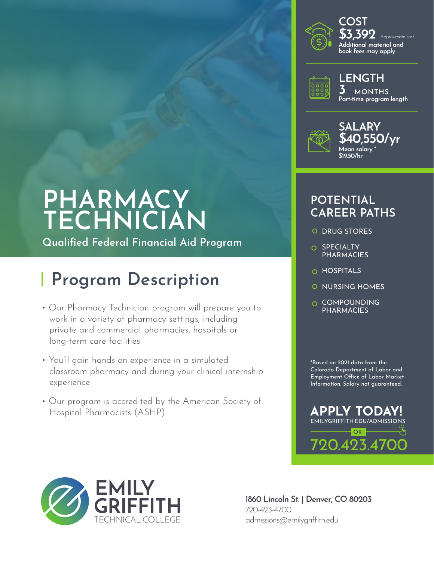

**\$3,392** Approximate cost **Additional material and book fees may apply COST**



**3 MONTHS Part-time program length LENGTH**



**Mean salary \* \$40,550/yr \$19.50/hr SALARY**

## **POTENTIAL CAREER PATHS**

- O DRUG STORES
- O SPECIALTY **PHARMACIES**
- O HOSPITALS
- O NURSING HOMES
- O COMPOUNDING PHARMACIES

\*Based on 2021 data from the Colorado Department of Labor and Employment Office of Labor Market Information. Salary not guaranteed.



# **PHARMACY TECHNICIAN**

**Qualified Federal Financial Aid Program**

# **Program Description**

- Our Pharmacy Technician program will prepare you to work in a variety of pharmacy settings, including private and commercial pharmacies, hospitals or long-term care facilities
- You'll gain hands-on experience in a simulated classroom pharmacy and during your clinical internship experience
- Our program is accredited by the American Society of Hospital Pharmacists (ASHP)



**1860 Lincoln St. | Denver, CO 80203** 720-423-4700 admissions@emilygriffith.edu